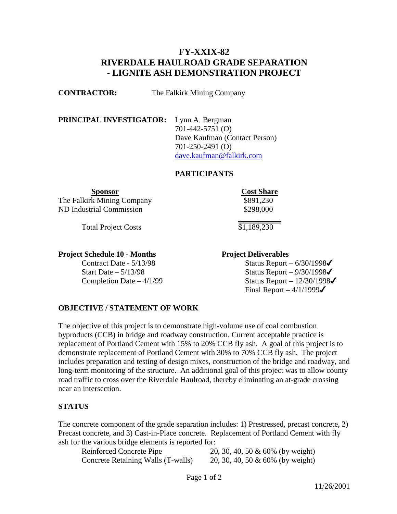# **FY-XXIX-82 RIVERDALE HAULROAD GRADE SEPARATION - LIGNITE ASH DEMONSTRATION PROJECT**

**CONTRACTOR:** The Falkirk Mining Company

**PRINCIPAL INVESTIGATOR:** Lynn A. Bergman 701-442-5751 (O) Dave Kaufman (Contact Person) 701-250-2491 (O) [dave.kaufman@falkirk.com](mailto:dave.kaufman@falkirk.com)

#### **PARTICIPANTS**

The Falkirk Mining Company  $\frac{1}{8891,230}$ ND Industrial Commission

Total Project Costs

**Project Schedule 10 - Months Project Deliverables** 

**Sponsor Cost Share** \$298,000

> **\_\_\_\_\_\_\_\_\_\_\_**  $$1,189,230$

Contract Date -  $5/13/98$  Status Report –  $6/30/1998\checkmark$ Start Date –  $5/13/98$  Status Report –  $9/30/1998\checkmark$ Completion Date  $-4/1/99$  Status Report  $-12/30/1998\checkmark$ Final Report –  $4/1/1999\checkmark$ 

#### **OBJECTIVE / STATEMENT OF WORK**

The objective of this project is to demonstrate high-volume use of coal combustion byproducts (CCB) in bridge and roadway construction. Current acceptable practice is replacement of Portland Cement with 15% to 20% CCB fly ash. A goal of this project is to demonstrate replacement of Portland Cement with 30% to 70% CCB fly ash. The project includes preparation and testing of design mixes, construction of the bridge and roadway, and long-term monitoring of the structure. An additional goal of this project was to allow county road traffic to cross over the Riverdale Haulroad, thereby eliminating an at-grade crossing near an intersection.

#### **STATUS**

The concrete component of the grade separation includes: 1) Prestressed, precast concrete, 2) Precast concrete, and 3) Cast-in-Place concrete. Replacement of Portland Cement with fly ash for the various bridge elements is reported for:

Concrete Retaining Walls (T-walls) 20, 30, 40, 50 & 60% (by weight)

Reinforced Concrete Pipe 20, 30, 40, 50 & 60% (by weight)

Page 1 of 2